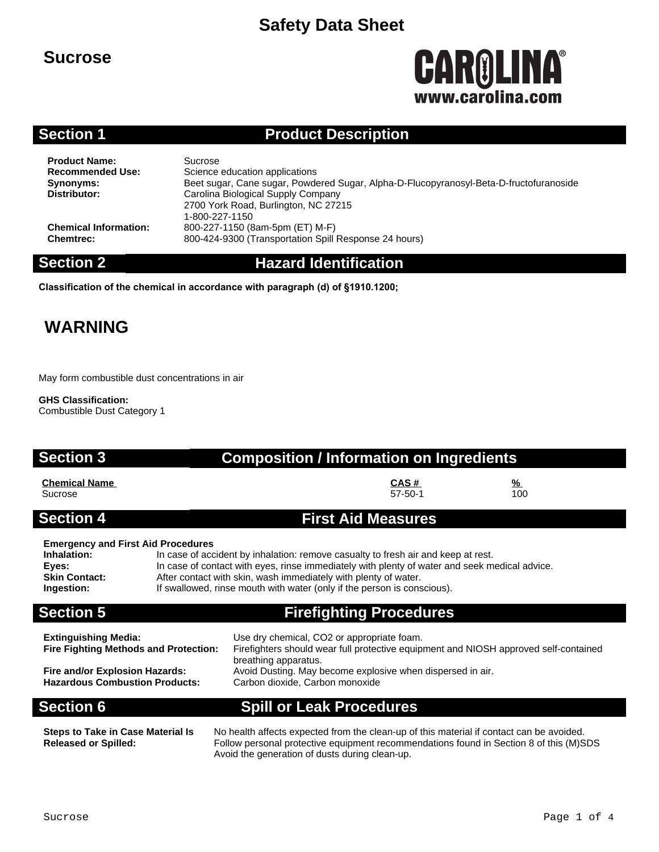### **Sucrose**

# CAROLINA® www.carolina.com

### **Section 1 Product Description**

**Product Name:** Sucrose<br> **Recommended Use:** Science

**Science education applications Synonyms:** Beet sugar, Cane sugar, Powdered Sugar, Alpha-D-Flucopyranosyl-Beta-D-fructofuranoside **Distributor:** Carolina Biological Supply Company 2700 York Road, Burlington, NC 27215 1-800-227-1150 **Chemical Information:** 800-227-1150 (8am-5pm (ET) M-F) **Chemtrec:** 800-424-9300 (Transportation Spill Response 24 hours)

**Section 2 Hazard Identification**

**Classification of the chemical in accordance with paragraph (d) of §1910.1200;**

## **WARNING**

May form combustible dust concentrations in air

**GHS Classification:**

Combustible Dust Category 1

### **Section 3 Composition / Information on Ingredients**

**Chemical Name CAS # %** Sucrose 57-50-1 100

### **Section 4 First Aid Measures**

### **Emergency and First Aid Procedures**

**Inhalation:** In case of accident by inhalation: remove casualty to fresh air and keep at rest. **Eyes:** In case of contact with eyes, rinse immediately with plenty of water and seek medical advice. **Skin Contact:** After contact with skin, wash immediately with plenty of water.<br> **Ingestion:** If swallowed, rinse mouth with water (only if the person is cons If swallowed, rinse mouth with water (only if the person is conscious).

## **Section 5 Firefighting Procedures**

**Extinguishing Media:** Use dry chemical, CO2 or appropriate foam. **Fire Fighting Methods and Protection:** Firefighters should wear full protective equipment and NIOSH approved self-contained breathing apparatus. **Fire and/or Explosion Hazards:** Avoid Dusting. May become explosive when dispersed in air.<br>**Hazardous Combustion Products:** Carbon dioxide. Carbon monoxide Carbon dioxide, Carbon monoxide

### **Section 6 Spill or Leak Procedures**

**Steps to Take in Case Material Is Released or Spilled:**

No health affects expected from the clean-up of this material if contact can be avoided. Follow personal protective equipment recommendations found in Section 8 of this (M)SDS Avoid the generation of dusts during clean-up.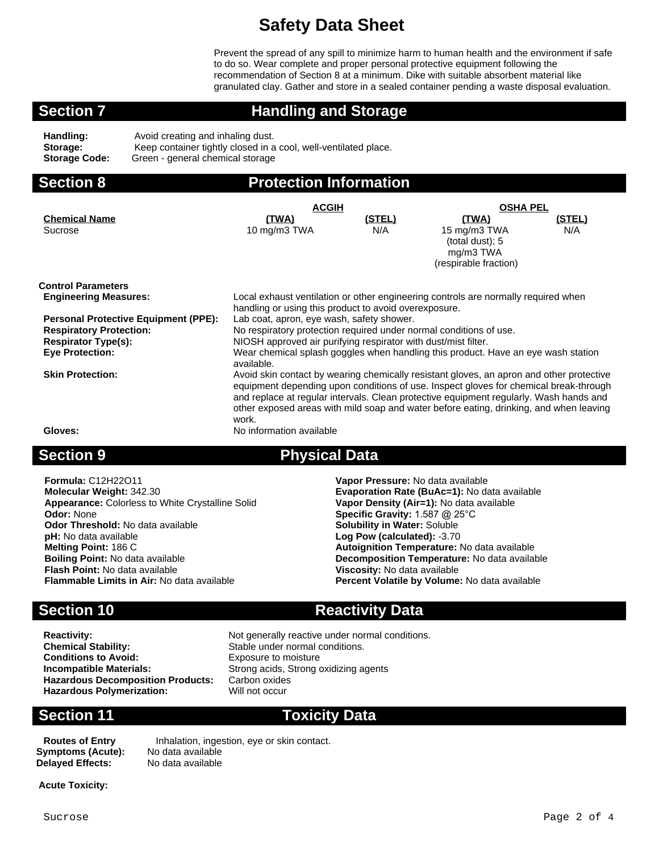Prevent the spread of any spill to minimize harm to human health and the environment if safe to do so. Wear complete and proper personal protective equipment following the recommendation of Section 8 at a minimum. Dike with suitable absorbent material like granulated clay. Gather and store in a sealed container pending a waste disposal evaluation.

### **Section 7 Handling and Storage**

| Handling:            | Avoid creating and inhaling dust.                               |
|----------------------|-----------------------------------------------------------------|
| Storage:             | Keep container tightly closed in a cool, well-ventilated place. |
| <b>Storage Code:</b> | Green - general chemical storage                                |

### **Section 8 Protection Information**

|                                             | <b>ACGIH</b>                                                                             |               | <b>OSHA PEL</b>                 |        |  |
|---------------------------------------------|------------------------------------------------------------------------------------------|---------------|---------------------------------|--------|--|
| <b>Chemical Name</b>                        | (TWA)                                                                                    | <u>(STEL)</u> | (TWA)                           | (STEL) |  |
| Sucrose                                     | 10 mg/m3 TWA                                                                             | N/A           | 15 mg/m3 TWA<br>(total dust); 5 | N/A    |  |
|                                             |                                                                                          |               | mg/m3 TWA                       |        |  |
|                                             |                                                                                          |               | (respirable fraction)           |        |  |
| <b>Control Parameters</b>                   |                                                                                          |               |                                 |        |  |
| <b>Engineering Measures:</b>                | Local exhaust ventilation or other engineering controls are normally required when       |               |                                 |        |  |
|                                             | handling or using this product to avoid overexposure.                                    |               |                                 |        |  |
| <b>Personal Protective Equipment (PPE):</b> | Lab coat, apron, eye wash, safety shower.                                                |               |                                 |        |  |
| <b>Respiratory Protection:</b>              | No respiratory protection required under normal conditions of use.                       |               |                                 |        |  |
| <b>Respirator Type(s):</b>                  | NIOSH approved air purifying respirator with dust/mist filter.                           |               |                                 |        |  |
| <b>Eye Protection:</b>                      | Wear chemical splash goggles when handling this product. Have an eye wash station        |               |                                 |        |  |
|                                             | available.                                                                               |               |                                 |        |  |
| <b>Skin Protection:</b>                     | Avoid skin contact by wearing chemically resistant gloves, an apron and other protective |               |                                 |        |  |
|                                             | equipment depending upon conditions of use. Inspect gloves for chemical break-through    |               |                                 |        |  |
|                                             | and replace at regular intervals. Clean protective equipment regularly. Wash hands and   |               |                                 |        |  |
|                                             | other exposed areas with mild soap and water before eating, drinking, and when leaving   |               |                                 |        |  |
|                                             | work.                                                                                    |               |                                 |        |  |
| Gloves:                                     | No information available                                                                 |               |                                 |        |  |
|                                             |                                                                                          |               |                                 |        |  |

**Section 9 Physical Data**

**Formula:** C12H22O11 **Vapor Pressure:** No data available **Molecular Weight:** 342.30 **Molecular Weight:** 342.30 **Evaporation Rate (BuAc=1):** No data available **Appearance:** Colorless to White Crystalline Solid **Vapor Density (Air=1):** No data available **Appearance: Colorless to White Crystalline Solid Odor: None Odor Threshold:** No data available **pH:** No data available **Log Pow (calculated):** -3.70 **Melting Point:** 186 C **Autoignition Temperature:** No data available **Boiling Point:** No data available **Decomposition Temperature:** No data available **Flash Point:** No data available **Flash Point:** No data available **Flash Point:** No data available<br>**Flammable Limits in Air:** No data available

**Specific Gravity:** 1.587 @ 25°C<br>**Solubility in Water:** Soluble **Percent Volatile by Volume:** No data available

**Chemical Stability:** Stable under normal conditions.<br> **Conditions to Avoid:** Exposure to moisture **Conditions to Avoid:** Exposure to moisture<br> **Conditions in Avoid:** Exposure to moisture<br>
Strong acids, Strong c **Hazardous Decomposition Products:** Carbon oxides<br>**Hazardous Polymerization:** Will not occur **Hazardous Polymerization:** 

**Section 10 Reactivity Data** 

**Reactivity:** Not generally reactive under normal conditions. **Strong acids, Strong oxidizing agents<br>Carbon oxides** 

### **Section 11 Toxicity Data**

**Symptoms (Acute): Delayed Effects:** No data available

**Routes of Entry** Inhalation, ingestion, eye or skin contact.<br>**ymptoms (Acute):** No data available

**Acute Toxicity:**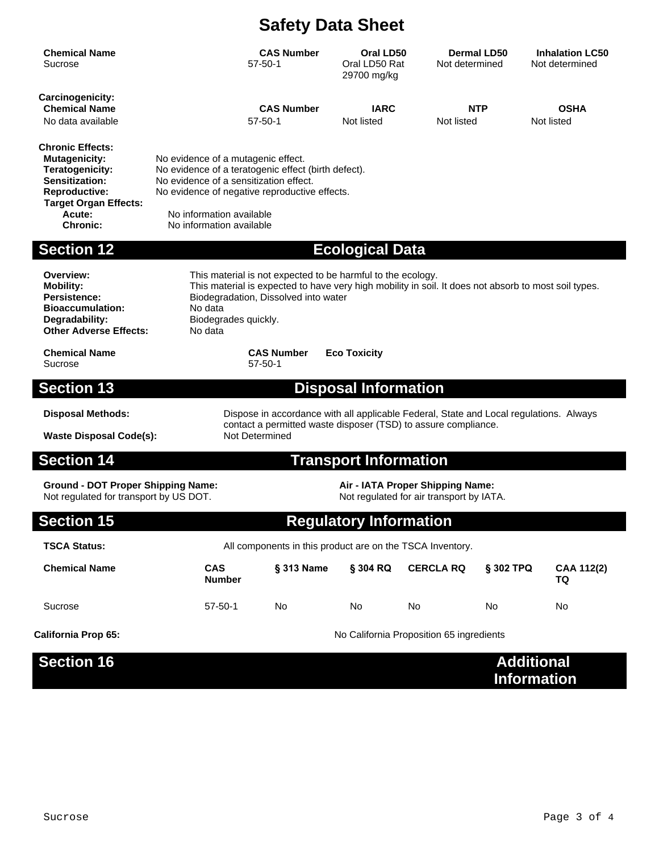| <b>Chemical Name</b><br>Sucrose                                                                                                                                     |                                                                                                                                                                                                                                                           | <b>CAS Number</b><br>$57 - 50 - 1$ | Oral LD50<br>Oral LD50 Rat<br>29700 mg/kg | Not determined   | <b>Dermal LD50</b> | <b>Inhalation LC50</b><br>Not determined |
|---------------------------------------------------------------------------------------------------------------------------------------------------------------------|-----------------------------------------------------------------------------------------------------------------------------------------------------------------------------------------------------------------------------------------------------------|------------------------------------|-------------------------------------------|------------------|--------------------|------------------------------------------|
| Carcinogenicity:<br><b>Chemical Name</b><br>No data available                                                                                                       |                                                                                                                                                                                                                                                           | <b>CAS Number</b><br>$57 - 50 - 1$ | <b>IARC</b><br>Not listed                 | Not listed       | NTP                | <b>OSHA</b><br>Not listed                |
| <b>Chronic Effects:</b><br><b>Mutagenicity:</b><br>Teratogenicity:<br>Sensitization:<br>Reproductive:<br><b>Target Organ Effects:</b><br>Acute:<br><b>Chronic:</b>  | No evidence of a mutagenic effect.<br>No evidence of a teratogenic effect (birth defect).<br>No evidence of a sensitization effect.<br>No evidence of negative reproductive effects.<br>No information available<br>No information available              |                                    |                                           |                  |                    |                                          |
| <b>Section 12</b>                                                                                                                                                   |                                                                                                                                                                                                                                                           |                                    | <b>Ecological Data</b>                    |                  |                    |                                          |
| Overview:<br><b>Mobility:</b><br><b>Persistence:</b><br><b>Bioaccumulation:</b><br>Degradability:<br><b>Other Adverse Effects:</b>                                  | This material is not expected to be harmful to the ecology.<br>This material is expected to have very high mobility in soil. It does not absorb to most soil types.<br>Biodegradation, Dissolved into water<br>No data<br>Biodegrades quickly.<br>No data |                                    |                                           |                  |                    |                                          |
| <b>Chemical Name</b><br>Sucrose                                                                                                                                     |                                                                                                                                                                                                                                                           | <b>CAS Number</b><br>57-50-1       | <b>Eco Toxicity</b>                       |                  |                    |                                          |
| <b>Section 13</b>                                                                                                                                                   |                                                                                                                                                                                                                                                           |                                    | <b>Disposal Information</b>               |                  |                    |                                          |
| <b>Disposal Methods:</b><br><b>Waste Disposal Code(s):</b>                                                                                                          | Dispose in accordance with all applicable Federal, State and Local regulations. Always<br>contact a permitted waste disposer (TSD) to assure compliance.<br>Not Determined                                                                                |                                    |                                           |                  |                    |                                          |
| <b>Section 14</b>                                                                                                                                                   |                                                                                                                                                                                                                                                           |                                    | <b>Transport Information</b>              |                  |                    |                                          |
| <b>Ground - DOT Proper Shipping Name:</b><br>Air - IATA Proper Shipping Name:<br>Not regulated for transport by US DOT.<br>Not regulated for air transport by IATA. |                                                                                                                                                                                                                                                           |                                    |                                           |                  |                    |                                          |
| <b>Section 15</b>                                                                                                                                                   |                                                                                                                                                                                                                                                           |                                    | <b>Regulatory Information</b>             |                  |                    |                                          |
| <b>TSCA Status:</b>                                                                                                                                                 | All components in this product are on the TSCA Inventory.                                                                                                                                                                                                 |                                    |                                           |                  |                    |                                          |
| <b>Chemical Name</b>                                                                                                                                                | <b>CAS</b><br><b>Number</b>                                                                                                                                                                                                                               | § 313 Name                         | § 304 RQ                                  | <b>CERCLA RQ</b> | § 302 TPQ          | CAA 112(2)<br>TQ                         |
| Sucrose                                                                                                                                                             | $57 - 50 - 1$                                                                                                                                                                                                                                             | No                                 | No                                        | No               | No                 | No                                       |
| <b>California Prop 65:</b>                                                                                                                                          | No California Proposition 65 ingredients                                                                                                                                                                                                                  |                                    |                                           |                  |                    |                                          |
| <b>Section 16</b>                                                                                                                                                   |                                                                                                                                                                                                                                                           |                                    |                                           |                  |                    | <b>Additional</b><br><b>Information</b>  |